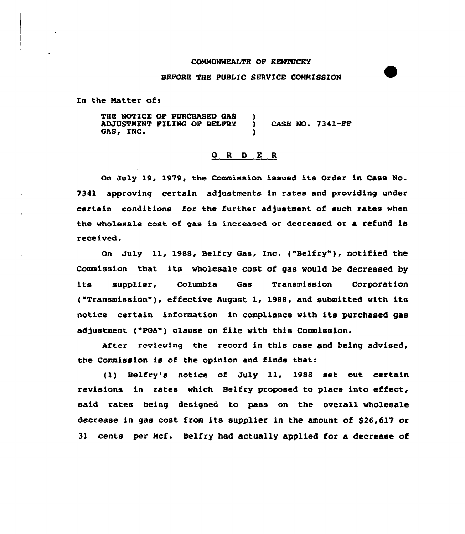### CONNO%fEALTH OF KENTUCKY

#### BEFORE THE PUBLIC SERVICE COMMISSION

En the Natter of:

4

THE NOTICE OF PURCHASED GAS )<br>ADJUSTMENT FILING OF BELFRY ) ADJUSTNENT FILING OF BELFRY ) CASE NO. 7341-FF GAS, INC.

## 0 <sup>R</sup> <sup>D</sup> E R

On July 19, 1979, the Commission issued its Order in Case No. 7341 approving certain adjustments in rates and providing under certain conditions for the further adjustment of such rates when the wholesale cost of gas is increased or decreased or a refund is received.

on Ju1y ll, 1988, Belfry Gas, Inc. ("Belfry" ), notified the Commission that its wholesale cost of gas would be decreased by its supplier, Columbia Gas Transmission Corpor<mark>ati</mark>o t"Transmission"), effective August 1, 1988, and submitted with its notice certain information in compliance with its purchased gas adjustment ("PGA") clause on file with this Commission.

After reviewing the record in this case and being advised, the Commission is of the opinion and finds thats

(1) Belfry's notice of July 11, 1988 set out certain revisions in rates which Belfry proposed to place into effect, said rates being designed to pass on the overall wholesale decrease in gas cost from its supplier in the amount of \$26,617 or 31 cents per Ncf. Belfry had actually applied for a decrease of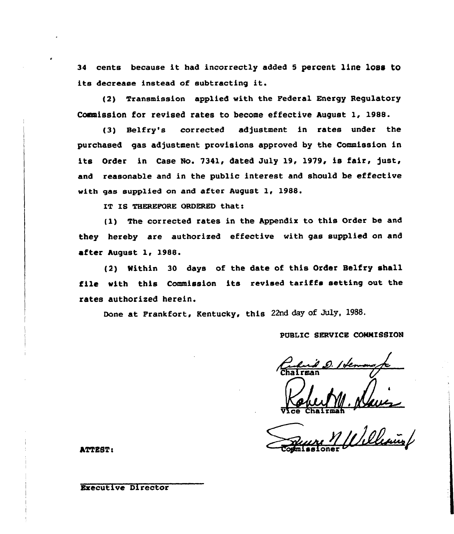34 cents because it had incorrectly added 5 percent line loss to its decrease instead of subtracting it.

(2) Transmission applied with the Federal Energy Regulatory Commission for revised rates to become effective August 1, 1988.

(3) Belfry's corrected adjustment in rates under the purchased gas adjustment provisions approved by the Commission in its Order in Case No. 7341, dated July 19, 1979, is fair, just, and reasonable and in the public interest and should be effective with gas supplied on and after August 1, 1988.

IT IS THEREFORE ORDERED that:

(1) The corrected rates in the Appendix to this Order be and they hereby are authorized effective with gas supplied on and after August 1, 1988.

(2) Within 30 days of the date of this Order Belfry shall file with this Commission its revised tariffs setting out the rates authorized herein.

Done at Frankfort, Kentucky, this 22nd day of July, 1988.

# PUBLIC SERVICE COMMISSION

.<br>I. Pleasa

ATTEST:

# **Executive Director**